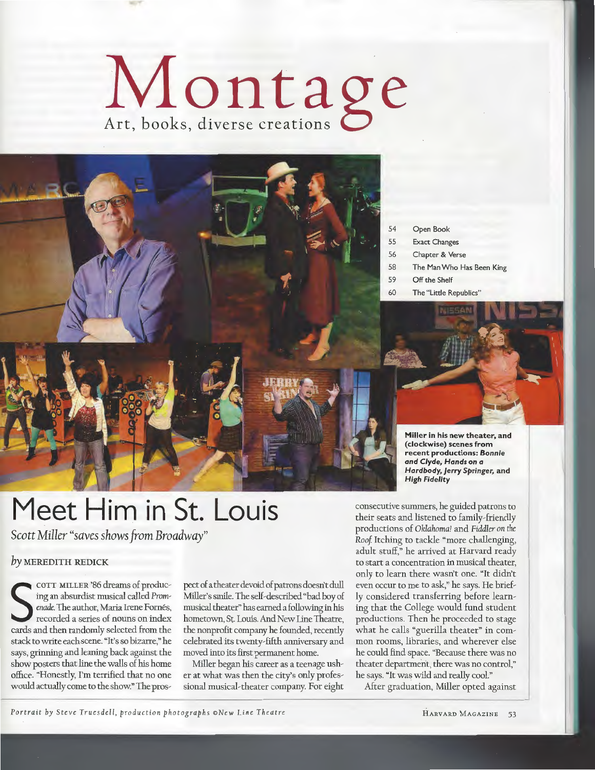



# **Meet Him in St. Louis**

*Scott Miller "saves shows from Broadway"* 

### *by* MEREDITH REDICK

S COTT MILLER '86 dreams of producing an absurdist musical called *Promenade*. The author, Maria Irene Fornés, recorded a series of nouns on index cards and then randomly selected from the ing an absurdist musical called *Promenade.* The author, Maria Irene Fornes, recorded a series of nouns on index stack to write each scene. "It's so bizarre," he says, grinning and leaning back against the show posters that line the walls of his home office. "Honestly, I'm terrified that no one would actually come to the show." The pros-

pect of a theater devoid of patrons doesn't dull Miller's smile. The self-described "bad boy of musical theater" has earned a following in his hometown, St. Louis. And New line Theatre, the nonprofit company he founded, recently celebrated its twenty-fifth anniversary and moved into its first permanent home.

Miller began his career as a teenage usher at what was then the city's only professional musical-theater company. For eight consecutive summers, he guided patrons to their seats and listened to family-friendly productions of *Oklahoma!* and *Fiddler on the Roof* Itching to tackle "more challenging, adult stuff," he arrived at Harvard ready to start a concentration in musical theater, only to learn there wasn't one. "It didn't even occur to me to ask," he says. He briefly considered transferring before learning that the College would fund student productions. Then he proceeded to stage what he calls "guerilla theater" in common rooms, libraries, and wherever else he could find space. "Because there was no theater department, there was no control," he says. "It was wild and really cool."

After graduation, Miller opted against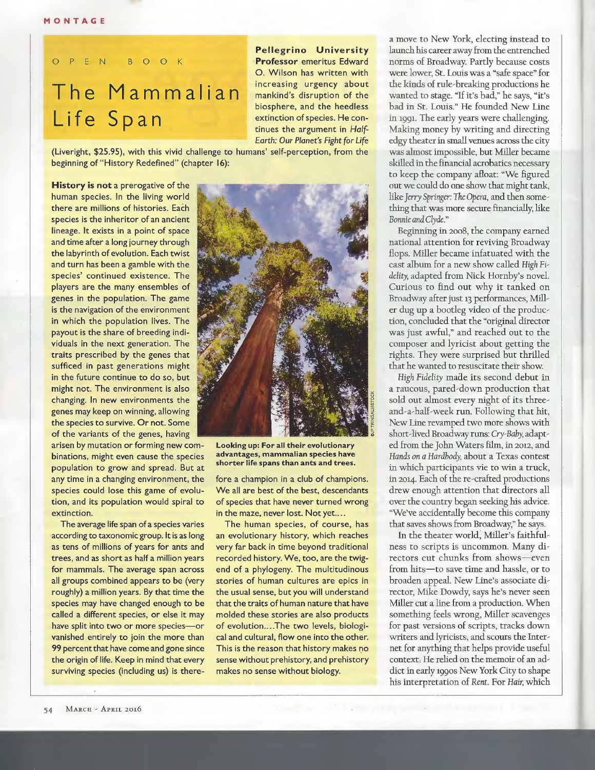0 P E N B 0 0 K

### **The Mammalia n Life Span**

Pellegrino University Professor emeritus Edward O. Wilson has written with increasing urgency about mankind's disruption of the biosphere, and the heedless extinction of species. He continues the argument in *Half-Earth: Our Planet's Fight for Life* 

(Liveright, \$25.95), with this vivid challenge to humans' self-perception, from the beginning of "History Redefined" (chapter 16):

History is not a prerogative of the human species. In the living world there are millions of histories. Each species is the inheritor of an ancient lineage. It exists in a point of space and time after a long journey through the labyrinth of evolution. Each twist and turn has been a gamble with the species' continued existence. The players are the many ensembles of genes in the population. The game is the navigation of the environment in which the population lives. The payout is the share of breeding individuals in the next generation. The traits prescribed by the genes that sufficed in past generations might in the future continue to do so, but might not. The environment is also changing. In new environments the genes may keep on winning, allowing the species to survive. Or not. Some of the variants of the genes, having

arisen by mutation or forming new combinations, might even cause the species population to grow and spread. But at any time in a changing environment, the species could lose this game of evolution, and its population would spiral to extinction.

The average life span of a species varies according to taxonomic group. It is as long as tens of millions of years for ants and trees, and as short as half a million years for mammals. The average span across all groups combined appears to be (very roughly) a million years. By that time the species may have changed enough to be called a different species, or else it may have split into two or more species-or vanished entirely to join the more than 99 percent that have come and gone since the origin of life. Keep in mind that every surviving species (including us) is there-



Looking up: For all their evolutionary advantages, mammalian species have shorter life spans than ants and trees.

fore a champion in a club of champions. We all are best of the best, descendants of species that have never turned wrong in the maze, never lost. Not yet....

The human species, of course, has an evolutionary history, which reaches very far back in time beyond traditional recorded history. We, too, are the twigend of a phylogeny. The multitudinous stories of human cultures are epics in the usual sense, but you will understand that the traits of human nature that have molded these stories are also products of evolution....The two levels, biological and cultural, flow one into the other. This is the reason that history makes no sense without prehistory, and prehistory makes no sense without biology.

a move to New York, electing instead to launch his career away from the entrenched norms of Broadway. Partly because costs were lower, St. Louis was a "safe space" for the kinds of rule-breaking productions he wanted to stage. "If it's bad," he says, "it's bad in St. Louis." He founded New Line in 1991. The early years were challenging. Making money by writing and directing edgy theater in small venues across the city was almost impossible, but Miller became skilled in the financial acrobatics necessary to keep the company afloat: "We figured out we could do one show that might tank, like *Jerry Springer: The Opera,* and then something that was more secure financially, like *Bonnie and Clyde."* 

Beginning in 2008, the company earned national attention for reviving Broadway flops. Miller became infatuated with the cast album for a new show called *High* Fi*delity,* adapted from Nick Hornby's novel. Curious to find out why it tanked on Broadway after just 13 performances, Miller dug up a bootleg video of the production, concluded that the "original director was just awful," and reached out to the composer and lyricist about getting the rights. They were surprised but thrilled that he wanted to resuscitate their show.

High Fidelity made its second debut in a raucous, pared-down production that sold out almost every night of its threeand-a-half-week run. Following that hit, New line revamped two more shows with short-lived Broadway runs: *Cry-Baby,* adapted from the John Waters film, in 2012, and *Hands on a Hardbody,* about a Texas contest in which participants vie to win a truck, in 2014. Each of the re-crafted productions drew enough attention that directors all over the country began seeking his advice. "We've accidentally become this company that saves shows from Broadway," he says.

In the theater world, Miller's faithfulness to scripts is uncommon. Many directors cut chunks from shows-even from hits-to save time and hassle, or to broaden appeal. New line's associate director, Mike Dowdy, says he's never seen Miller cut a line from a production. When something feels wrong, Miller scavenges for past versions of scripts, tracks down writers and lyricists, and scours the Internet for anything that helps provide useful context. He relied on the memoir of an addict in early 1990s New York City to shape his interpretation of *Rent.* For *Hair;* which

Charles and the second con-